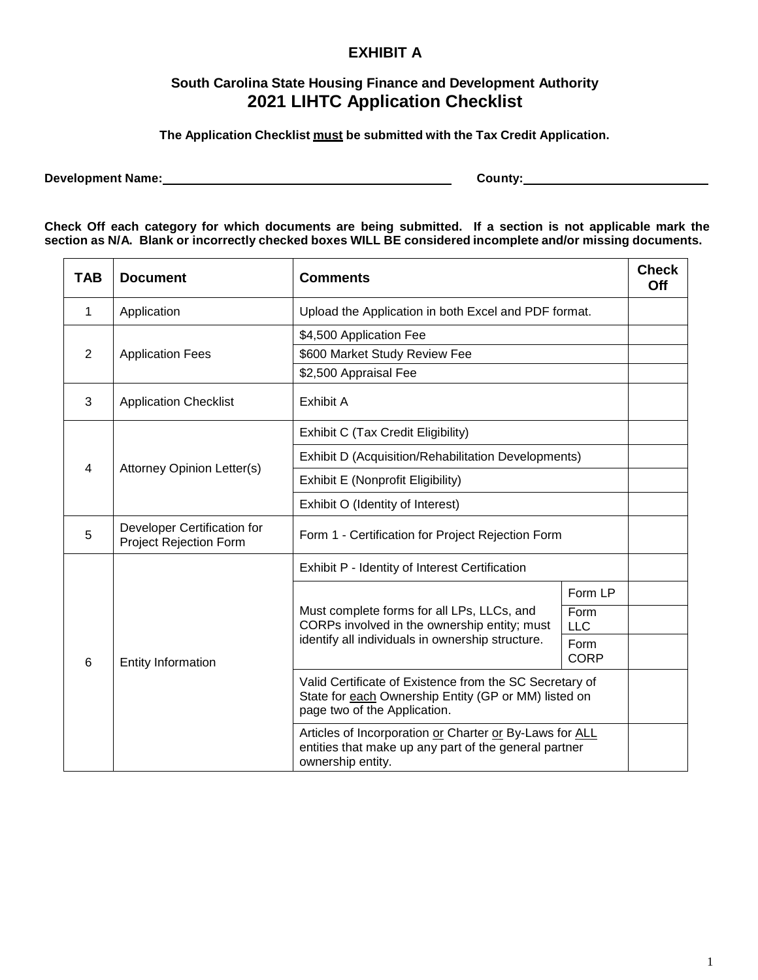## **EXHIBIT A**

## **South Carolina State Housing Finance and Development Authority 2021 LIHTC Application Checklist**

**The Application Checklist must be submitted with the Tax Credit Application.**

**Development Name: County:** 

**Check Off each category for which documents are being submitted. If a section is not applicable mark the section as N/A. Blank or incorrectly checked boxes WILL BE considered incomplete and/or missing documents.**

| <b>TAB</b>     | <b>Document</b>                                              | <b>Comments</b>                                                                                                                                 |                     | <b>Check</b><br>Off |
|----------------|--------------------------------------------------------------|-------------------------------------------------------------------------------------------------------------------------------------------------|---------------------|---------------------|
| 1              | Application                                                  | Upload the Application in both Excel and PDF format.                                                                                            |                     |                     |
| $\overline{2}$ | <b>Application Fees</b>                                      | \$4,500 Application Fee                                                                                                                         |                     |                     |
|                |                                                              | \$600 Market Study Review Fee                                                                                                                   |                     |                     |
|                |                                                              | \$2,500 Appraisal Fee                                                                                                                           |                     |                     |
| 3              | <b>Application Checklist</b>                                 | Exhibit A                                                                                                                                       |                     |                     |
| 4              | Attorney Opinion Letter(s)                                   | Exhibit C (Tax Credit Eligibility)                                                                                                              |                     |                     |
|                |                                                              | Exhibit D (Acquisition/Rehabilitation Developments)                                                                                             |                     |                     |
|                |                                                              | Exhibit E (Nonprofit Eligibility)                                                                                                               |                     |                     |
|                |                                                              | Exhibit O (Identity of Interest)                                                                                                                |                     |                     |
| 5              | Developer Certification for<br><b>Project Rejection Form</b> | Form 1 - Certification for Project Rejection Form                                                                                               |                     |                     |
| 6              | <b>Entity Information</b>                                    | Exhibit P - Identity of Interest Certification                                                                                                  |                     |                     |
|                |                                                              | Must complete forms for all LPs, LLCs, and<br>CORPs involved in the ownership entity; must<br>identify all individuals in ownership structure.  | Form LP             |                     |
|                |                                                              |                                                                                                                                                 | Form<br><b>LLC</b>  |                     |
|                |                                                              |                                                                                                                                                 | Form<br><b>CORP</b> |                     |
|                |                                                              | Valid Certificate of Existence from the SC Secretary of<br>State for each Ownership Entity (GP or MM) listed on<br>page two of the Application. |                     |                     |
|                |                                                              | Articles of Incorporation or Charter or By-Laws for ALL<br>entities that make up any part of the general partner<br>ownership entity.           |                     |                     |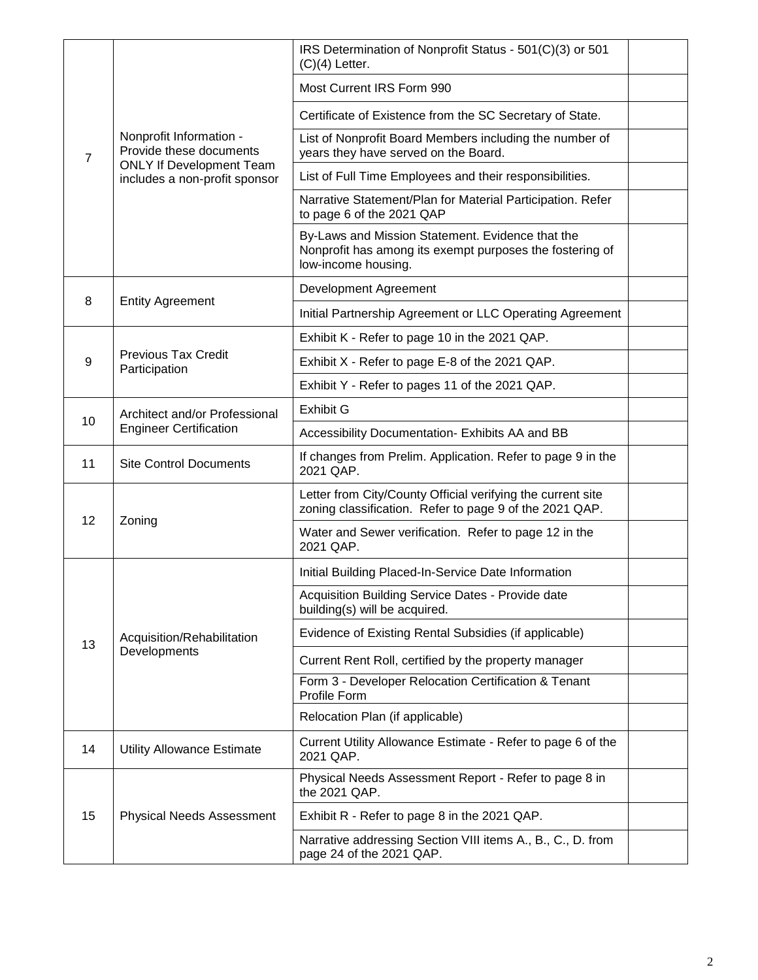| 7  | Nonprofit Information -<br>Provide these documents<br><b>ONLY If Development Team</b><br>includes a non-profit sponsor | IRS Determination of Nonprofit Status - 501(C)(3) or 501<br>$(C)(4)$ Letter.                                                        |  |
|----|------------------------------------------------------------------------------------------------------------------------|-------------------------------------------------------------------------------------------------------------------------------------|--|
|    |                                                                                                                        | Most Current IRS Form 990                                                                                                           |  |
|    |                                                                                                                        | Certificate of Existence from the SC Secretary of State.                                                                            |  |
|    |                                                                                                                        | List of Nonprofit Board Members including the number of<br>years they have served on the Board.                                     |  |
|    |                                                                                                                        | List of Full Time Employees and their responsibilities.                                                                             |  |
|    |                                                                                                                        | Narrative Statement/Plan for Material Participation. Refer<br>to page 6 of the 2021 QAP                                             |  |
|    |                                                                                                                        | By-Laws and Mission Statement. Evidence that the<br>Nonprofit has among its exempt purposes the fostering of<br>low-income housing. |  |
| 8  | <b>Entity Agreement</b>                                                                                                | Development Agreement                                                                                                               |  |
|    |                                                                                                                        | Initial Partnership Agreement or LLC Operating Agreement                                                                            |  |
|    | <b>Previous Tax Credit</b><br>Participation                                                                            | Exhibit K - Refer to page 10 in the 2021 QAP.                                                                                       |  |
| 9  |                                                                                                                        | Exhibit X - Refer to page E-8 of the 2021 QAP.                                                                                      |  |
|    |                                                                                                                        | Exhibit Y - Refer to pages 11 of the 2021 QAP.                                                                                      |  |
| 10 | Architect and/or Professional<br><b>Engineer Certification</b>                                                         | <b>Exhibit G</b>                                                                                                                    |  |
|    |                                                                                                                        | Accessibility Documentation- Exhibits AA and BB                                                                                     |  |
| 11 | <b>Site Control Documents</b>                                                                                          | If changes from Prelim. Application. Refer to page 9 in the<br>2021 QAP.                                                            |  |
| 12 | Zoning                                                                                                                 | Letter from City/County Official verifying the current site<br>zoning classification. Refer to page 9 of the 2021 QAP.              |  |
|    |                                                                                                                        | Water and Sewer verification. Refer to page 12 in the<br>2021 QAP.                                                                  |  |
|    | Acquisition/Rehabilitation<br>Developments                                                                             | Initial Building Placed-In-Service Date Information                                                                                 |  |
|    |                                                                                                                        | Acquisition Building Service Dates - Provide date<br>building(s) will be acquired.                                                  |  |
| 13 |                                                                                                                        | Evidence of Existing Rental Subsidies (if applicable)                                                                               |  |
|    |                                                                                                                        | Current Rent Roll, certified by the property manager                                                                                |  |
|    |                                                                                                                        | Form 3 - Developer Relocation Certification & Tenant<br>Profile Form                                                                |  |
|    |                                                                                                                        | Relocation Plan (if applicable)                                                                                                     |  |
| 14 | <b>Utility Allowance Estimate</b>                                                                                      | Current Utility Allowance Estimate - Refer to page 6 of the<br>2021 QAP.                                                            |  |
| 15 | <b>Physical Needs Assessment</b>                                                                                       | Physical Needs Assessment Report - Refer to page 8 in<br>the 2021 QAP.                                                              |  |
|    |                                                                                                                        | Exhibit R - Refer to page 8 in the 2021 QAP.                                                                                        |  |
|    |                                                                                                                        | Narrative addressing Section VIII items A., B., C., D. from<br>page 24 of the 2021 QAP.                                             |  |